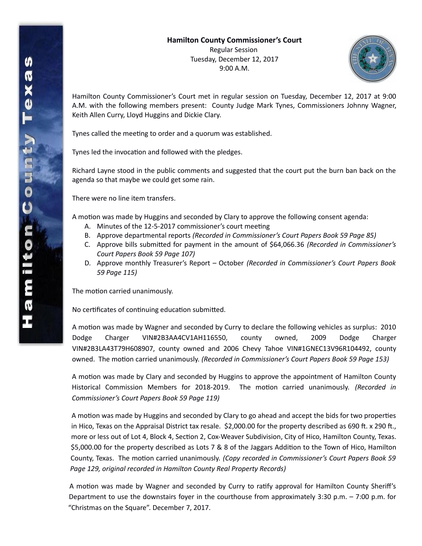## **Hamilton County Commissioner's Court** Regular Session Tuesday, December 12, 2017 9:00 A.M.



Hamilton County Commissioner's Court met in regular session on Tuesday, December 12, 2017 at 9:00 A.M. with the following members present: County Judge Mark Tynes, Commissioners Johnny Wagner, Keith Allen Curry, Lloyd Huggins and Dickie Clary.

Tynes called the meeting to order and a quorum was established.

Tynes led the invocation and followed with the pledges.

Richard Layne stood in the public comments and suggested that the court put the burn ban back on the agenda so that maybe we could get some rain.

There were no line item transfers.

A motion was made by Huggins and seconded by Clary to approve the following consent agenda:

- A. Minutes of the 12-5-2017 commissioner's court meeting
- B. Approve departmental reports *(Recorded in Commissioner's Court Papers Book 59 Page 85)*
- C. Approve bills submitted for payment in the amount of \$64,066.36 *(Recorded in Commissioner's Court Papers Book 59 Page 107)*
- D. Approve monthly Treasurer's Report October *(Recorded in Commissioner's Court Papers Book 59 Page 115)*

The motion carried unanimously.

No certificates of continuing education submitted.

A motion was made by Wagner and seconded by Curry to declare the following vehicles as surplus: 2010 Dodge Charger VIN#2B3AA4CV1AH116550, county owned, 2009 Dodge Charger VIN#2B3LA43T79H608907, county owned and 2006 Chevy Tahoe VIN#1GNEC13V96R104492, county owned. The motion carried unanimously. *(Recorded in Commissioner's Court Papers Book 59 Page 153)*

A motion was made by Clary and seconded by Huggins to approve the appointment of Hamilton County Historical Commission Members for 2018-2019. The motion carried unanimously. *(Recorded in Commissioner's Court Papers Book 59 Page 119)*

A motion was made by Huggins and seconded by Clary to go ahead and accept the bids for two properties in Hico, Texas on the Appraisal District tax resale. \$2,000.00 for the property described as 690 ft. x 290 ft., more or less out of Lot 4, Block 4, Section 2, Cox-Weaver Subdivision, City of Hico, Hamilton County, Texas. \$5,000.00 for the property described as Lots 7 & 8 of the Jaggars Addition to the Town of Hico, Hamilton County, Texas. The motion carried unanimously. *(Copy recorded in Commissioner's Court Papers Book 59 Page 129, original recorded in Hamilton County Real Property Records)*

A motion was made by Wagner and seconded by Curry to ratify approval for Hamilton County Sheriff's Department to use the downstairs foyer in the courthouse from approximately 3:30 p.m. – 7:00 p.m. for "Christmas on the Square". December 7, 2017.